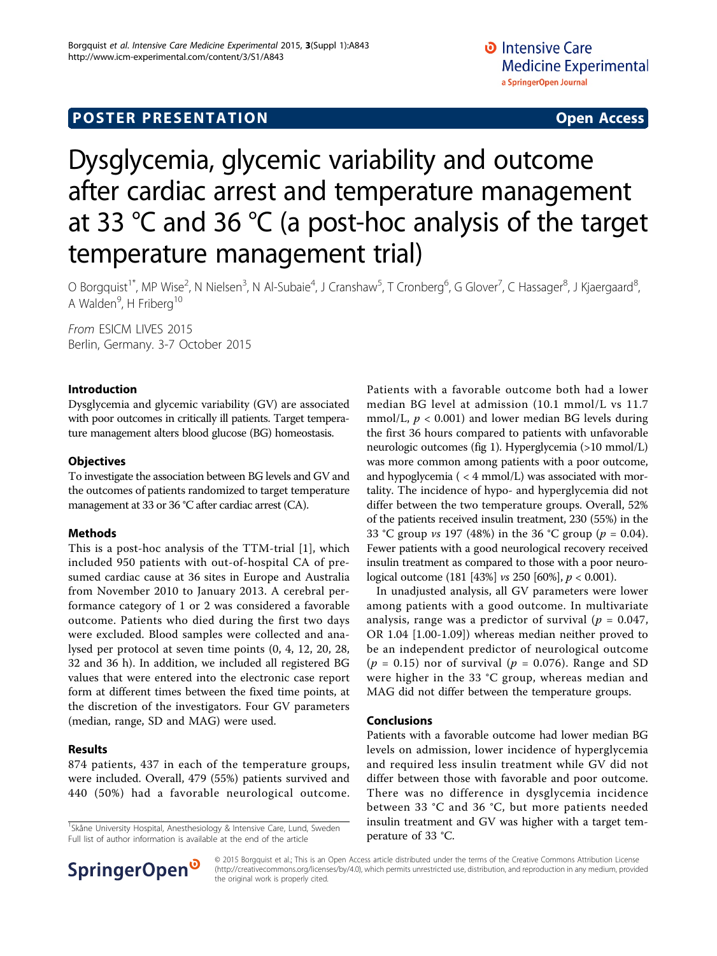# **POSTER PRESENTATION CONSUMING ACCESS**

# Dysglycemia, glycemic variability and outcome after cardiac arrest and temperature management at 33 °C and 36 °C (a post-hoc analysis of the target temperature management trial)

O Borgquist<sup>1\*</sup>, MP Wise<sup>2</sup>, N Nielsen<sup>3</sup>, N Al-Subaie<sup>4</sup>, J Cranshaw<sup>5</sup>, T Cronberg<sup>6</sup>, G Glover<sup>7</sup>, C Hassager<sup>8</sup>, J Kjaergaard<sup>8</sup> ;<br>, A Walden<sup>9</sup>, H Friberg<sup>10</sup>

From ESICM LIVES 2015 Berlin, Germany. 3-7 October 2015

#### Introduction

Dysglycemia and glycemic variability (GV) are associated with poor outcomes in critically ill patients. Target temperature management alters blood glucose (BG) homeostasis.

# **Objectives**

To investigate the association between BG levels and GV and the outcomes of patients randomized to target temperature management at 33 or 36 °C after cardiac arrest (CA).

# Methods

This is a post-hoc analysis of the TTM-trial [\[1\]](#page-1-0), which included 950 patients with out-of-hospital CA of presumed cardiac cause at 36 sites in Europe and Australia from November 2010 to January 2013. A cerebral performance category of 1 or 2 was considered a favorable outcome. Patients who died during the first two days were excluded. Blood samples were collected and analysed per protocol at seven time points (0, 4, 12, 20, 28, 32 and 36 h). In addition, we included all registered BG values that were entered into the electronic case report form at different times between the fixed time points, at the discretion of the investigators. Four GV parameters (median, range, SD and MAG) were used.

# Results

874 patients, 437 in each of the temperature groups, were included. Overall, 479 (55%) patients survived and 440 (50%) had a favorable neurological outcome.

<sup>1</sup>Skåne University Hospital, Anesthesiology & Intensive Care, Lund, Sweden Full list of author information is available at the end of the article



In unadjusted analysis, all GV parameters were lower among patients with a good outcome. In multivariate analysis, range was a predictor of survival ( $p = 0.047$ , OR 1.04 [1.00-1.09]) whereas median neither proved to be an independent predictor of neurological outcome ( $p = 0.15$ ) nor of survival ( $p = 0.076$ ). Range and SD were higher in the 33 °C group, whereas median and MAG did not differ between the temperature groups.

#### Conclusions

Patients with a favorable outcome had lower median BG levels on admission, lower incidence of hyperglycemia and required less insulin treatment while GV did not differ between those with favorable and poor outcome. There was no difference in dysglycemia incidence between 33 °C and 36 °C, but more patients needed insulin treatment and GV was higher with a target temperature of 33 °C.



© 2015 Borgquist et al.; This is an Open Access article distributed under the terms of the Creative Commons Attribution License [\(http://creativecommons.org/licenses/by/4.0](http://creativecommons.org/licenses/by/4.0)), which permits unrestricted use, distribution, and reproduction in any medium, provided the original work is properly cited.